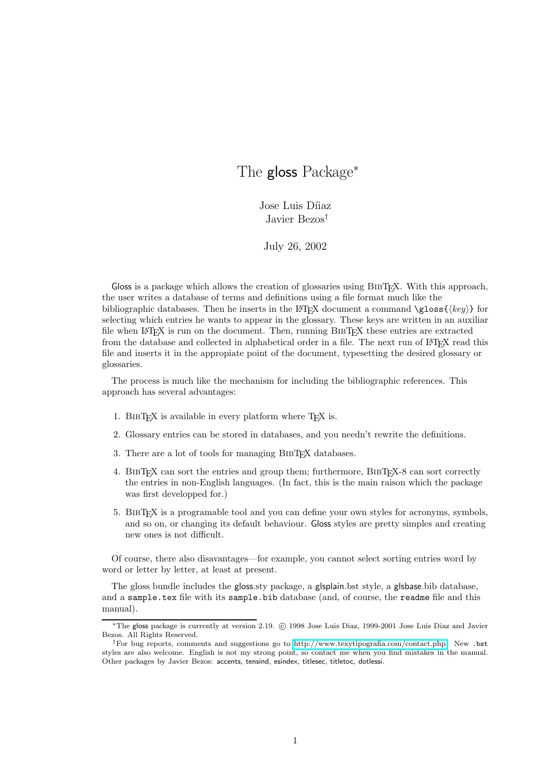# The gloss Package<sup>\*</sup>

Jose Luis Díiaz Javier Bezos†

July 26, 2002

Gloss is a package which allows the creation of glossaries using BIBT<sub>EX</sub>. With this approach, the user writes a database of terms and definitions using a file format much like the bibliographic databases. Then he inserts in the LATEX document a command  $\gtrsim$  { $\langle key \rangle$ } for selecting which entries he wants to appear in the glossary. These keys are written in an auxiliar file when LATEX is run on the document. Then, running BIBTEX these entries are extracted from the database and collected in alphabetical order in a file. The next run of LATEX read this file and inserts it in the appropiate point of the document, typesetting the desired glossary or glossaries.

The process is much like the mechanism for including the bibliographic references. This approach has several advantages:

- 1. BIBT<sub>EX</sub> is available in every platform where  $T_{EX}$  is.
- 2. Glossary entries can be stored in databases, and you needn't rewrite the definitions.
- 3. There are a lot of tools for managing BibTEX databases.
- 4. BibTEX can sort the entries and group them; furthermore, BibTEX-8 can sort correctly the entries in non-English languages. (In fact, this is the main raison which the package was first developped for.)
- 5. BibTEX is a programable tool and you can define your own styles for acronyms, symbols, and so on, or changing its default behaviour. Gloss styles are pretty simples and creating new ones is not difficult.

Of course, there also disavantages—for example, you cannot select sorting entries word by word or letter by letter, at least at present.

The gloss bundle includes the gloss.sty package, a glsplain.bst style, a glsbase.bib database, and a sample.tex file with its sample.bib database (and, of course, the readme file and this manual).

<sup>∗</sup>The gloss package is currently at version 2.19. c 1998 Jose Luis Diaz, 1999-2001 Jose Luis Diaz and Javier Bezos. All Rights Reserved.

<sup>†</sup>For bug reports, comments and suggestions go to [http://www.texytipografia.com/contact.php.](http://www.texytipografia.com/contact.php) New .bst styles are also welcome. English is not my strong point, so contact me when you find mistakes in the manual. Other packages by Javier Bezos: accents, tensind, esindex, titlesec, titletoc, dotlessi.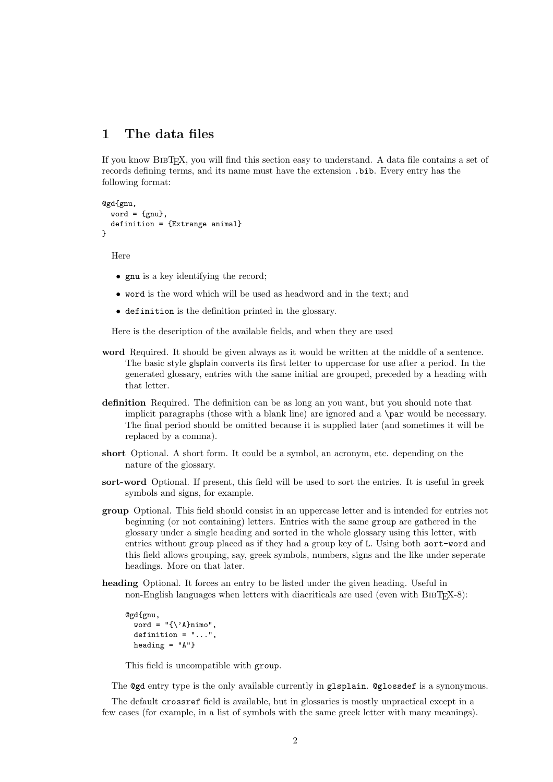### 1 The data files

If you know BibTEX, you will find this section easy to understand. A data file contains a set of records defining terms, and its name must have the extension .bib. Every entry has the following format:

```
@gd{gnu,
  word = {gnu},
  definition = {Extrange animal}
}
```
Here

- gnu is a key identifying the record;
- word is the word which will be used as headword and in the text; and
- definition is the definition printed in the glossary.

Here is the description of the available fields, and when they are used

- word Required. It should be given always as it would be written at the middle of a sentence. The basic style glsplain converts its first letter to uppercase for use after a period. In the generated glossary, entries with the same initial are grouped, preceded by a heading with that letter.
- definition Required. The definition can be as long an you want, but you should note that implicit paragraphs (those with a blank line) are ignored and a \par would be necessary. The final period should be omitted because it is supplied later (and sometimes it will be replaced by a comma).
- short Optional. A short form. It could be a symbol, an acronym, etc. depending on the nature of the glossary.
- sort-word Optional. If present, this field will be used to sort the entries. It is useful in greek symbols and signs, for example.
- group Optional. This field should consist in an uppercase letter and is intended for entries not beginning (or not containing) letters. Entries with the same group are gathered in the glossary under a single heading and sorted in the whole glossary using this letter, with entries without group placed as if they had a group key of L. Using both sort-word and this field allows grouping, say, greek symbols, numbers, signs and the like under seperate headings. More on that later.
- heading Optional. It forces an entry to be listed under the given heading. Useful in non-English languages when letters with diacriticals are used (even with BIBTEX-8):

```
@gd{gnu,
 word = "\{\ \A\}nimo,
 definition = "...",heading = "A"
```
This field is uncompatible with group.

The @gd entry type is the only available currently in glsplain. @glossdef is a synonymous.

The default crossref field is available, but in glossaries is mostly unpractical except in a few cases (for example, in a list of symbols with the same greek letter with many meanings).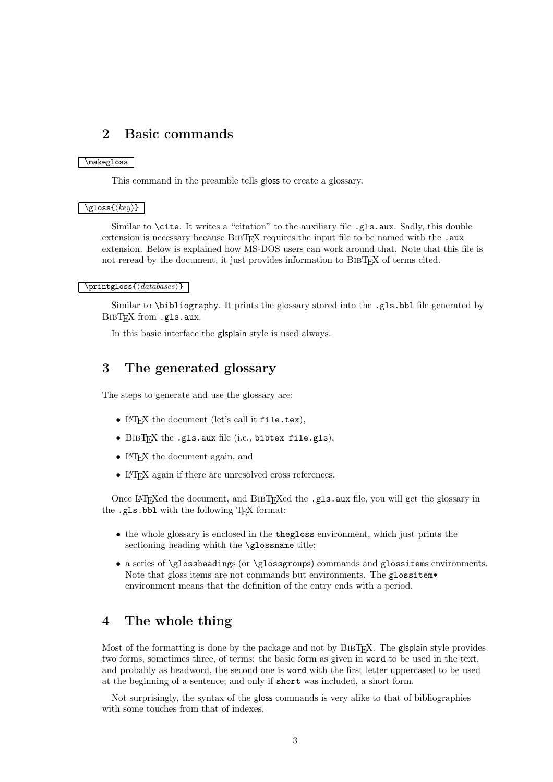### 2 Basic commands

### \makegloss

This command in the preamble tells gloss to create a glossary.

#### $\setminus$ gloss $\{\langle key \rangle\}$

Similar to **\cite.** It writes a "citation" to the auxiliary file .gls.aux. Sadly, this double extension is necessary because BIBTEX requires the input file to be named with the .aux extension. Below is explained how MS-DOS users can work around that. Note that this file is not reread by the document, it just provides information to BIBTEX of terms cited.

#### $\printgloss\{\langle databases\rangle\}$

Similar to \bibliography. It prints the glossary stored into the .gls.bbl file generated by BIBT<sub>E</sub>X from .gls.aux.

In this basic interface the glsplain style is used always.

### 3 The generated glossary

The steps to generate and use the glossary are:

- LAT<sub>EX</sub> the document (let's call it file.tex),
- BIBT<sub>F</sub>X the .gls.aux file (i.e., bibtex file.gls),
- LAT<sub>EX</sub> the document again, and
- LAT<sub>E</sub>X again if there are unresolved cross references.

Once LATEXed the document, and BIBTEXed the .gls.aux file, you will get the glossary in the .gls.bbl with the following T<sub>EX</sub> format:

- the whole glossary is enclosed in the thegloss environment, which just prints the sectioning heading whith the \glossname title;
- a series of \glossheadings (or \glossgroups) commands and glossitems environments. Note that gloss items are not commands but environments. The glossitem\* environment means that the definition of the entry ends with a period.

## 4 The whole thing

Most of the formatting is done by the package and not by BIBTFX. The glsplain style provides two forms, sometimes three, of terms: the basic form as given in word to be used in the text, and probably as headword, the second one is word with the first letter uppercased to be used at the beginning of a sentence; and only if short was included, a short form.

Not surprisingly, the syntax of the gloss commands is very alike to that of bibliographies with some touches from that of indexes.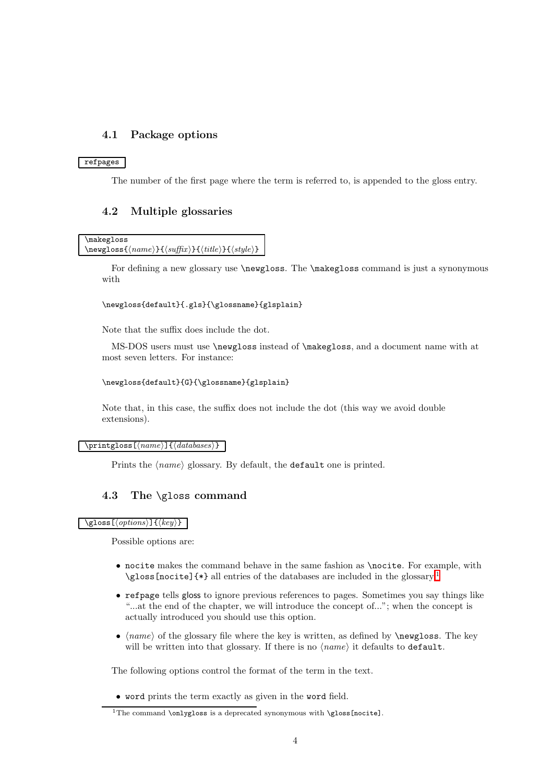### 4.1 Package options

### refpages

The number of the first page where the term is referred to, is appended to the gloss entry.

### 4.2 Multiple glossaries

```
\makegloss
\newcommand{\mbox{\q}{}g\label{thm} \label{thm:1}
```
For defining a new glossary use \newgloss. The \makegloss command is just a synonymous with

### \newgloss{default}{.gls}{\glossname}{glsplain}

Note that the suffix does include the dot.

MS-DOS users must use \newgloss instead of \makegloss, and a document name with at most seven letters. For instance:

#### \newgloss{default}{G}{\glossname}{glsplain}

Note that, in this case, the suffix does not include the dot (this way we avoid double extensions).

#### $\partial\{\eta(x)\}$ { $\langle databases\rangle$ }

Prints the  $\langle name \rangle$  glossary. By default, the default one is printed.

### 4.3 The \gloss command

\gloss[ $\langle options\rangle$ ]{ $\langle key\rangle$ }

Possible options are:

- nocite makes the command behave in the same fashion as \nocite. For example, with \gloss[nocite]{\*} all entries of the databases are included in the glossary.<sup>[1](#page-3-0)</sup>
- refpage tells gloss to ignore previous references to pages. Sometimes you say things like "...at the end of the chapter, we will introduce the concept of..."; when the concept is actually introduced you should use this option.
- $\langle name \rangle$  of the glossary file where the key is written, as defined by **\newgloss**. The key will be written into that glossary. If there is no  $\langle name \rangle$  it defaults to default.

The following options control the format of the term in the text.

• word prints the term exactly as given in the word field.

<span id="page-3-0"></span><sup>&</sup>lt;sup>1</sup>The command **\onlygloss** is a deprecated synonymous with **\gloss[nocite]**.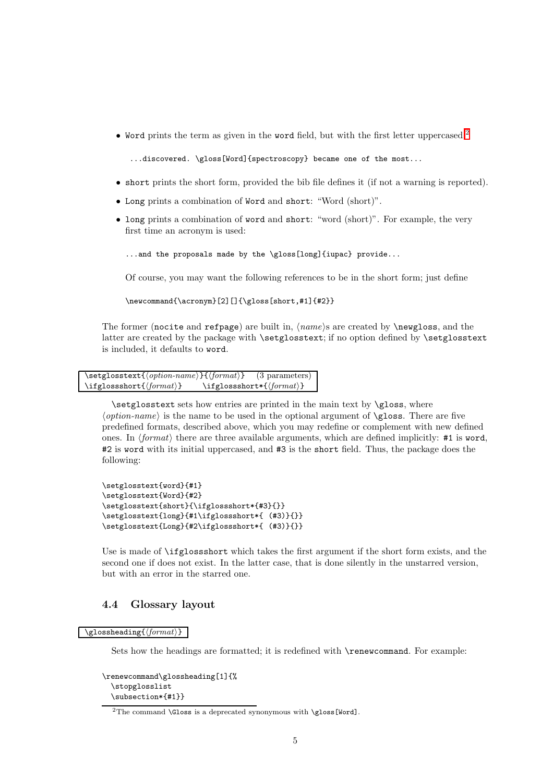• Word prints the term as given in the word field, but with the first letter uppercased.<sup>[2](#page-4-0)</sup>

...discovered. \gloss[Word]{spectroscopy} became one of the most...

- short prints the short form, provided the bib file defines it (if not a warning is reported).
- Long prints a combination of Word and short: "Word (short)".
- long prints a combination of word and short: "word (short)". For example, the very first time an acronym is used:

...and the proposals made by the \gloss[long]{iupac} provide...

Of course, you may want the following references to be in the short form; just define

\newcommand{\acronym}[2][]{\gloss[short,#1]{#2}}

The former (nocite and refpage) are built in,  $\langle name \rangle$ s are created by  $\langle newgloss, and the$ latter are created by the package with \setglosstext; if no option defined by \setglosstext is included, it defaults to word.

```
\setminussetglosstext\{ \langle option\text{-}name \rangle\}\{ \langle format \rangle\} (3 parameters)
\left\{\{format\} \right\} \ifglossshort*{\lamatilificanative}
```
\setglosstext sets how entries are printed in the main text by \gloss, where  $\langle option\text{-}name\rangle$  is the name to be used in the optional argument of  $\gtrsim$  There are five predefined formats, described above, which you may redefine or complement with new defined ones. In  $\langle format \rangle$  there are three available arguments, which are defined implicitly: #1 is word, #2 is word with its initial uppercased, and #3 is the short field. Thus, the package does the following:

```
\setglosstext{word}{#1}
\setglosstext{Word}{#2}
\setglosstext{short}{\ifglossshort*{#3}{}}
\setglosstext{long}{#1\ifglossshort*{ (#3)}{}}
\setglosstext{Long}{#2\ifglossshort*{ (#3)}{}}
```
Use is made of \ifglossshort which takes the first argument if the short form exists, and the second one if does not exist. In the latter case, that is done silently in the unstarred version, but with an error in the starred one.

### 4.4 Glossary layout

 $\sqrt{\text{glossheading}\{\text{format}\}}$ 

Sets how the headings are formatted; it is redefined with \renewcommand. For example:

```
\renewcommand\glossheading[1]{%
  \stopglosslist
  \subsection*{#1}}
```
<span id="page-4-0"></span><sup>&</sup>lt;sup>2</sup>The command  $\G$ loss is a deprecated synonymous with  $\gtrsim$  [Word].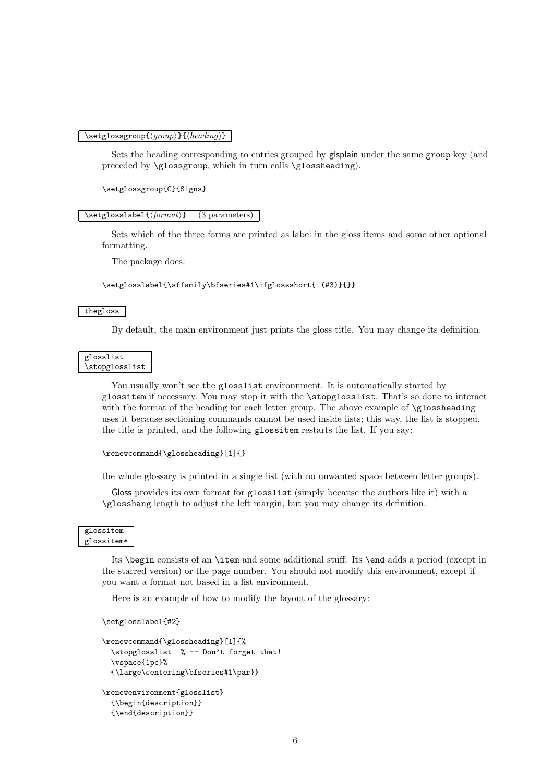#### $\setminus$ setglossgroup $\{\langle \text{group}\rangle\}$ { $\langle \text{heading}\rangle$ }

Sets the heading corresponding to entries grouped by glsplain under the same group key (and preceded by \glossgroup, which in turn calls \glossheading).

\setglossgroup{C}{Signs}

#### $\setminus$ setglosslabel $\{\forall \text{format}\}$  (3 parameters)

Sets which of the three forms are printed as label in the gloss items and some other optional formatting.

The package does:

\setglosslabel{\sffamily\bfseries#1\ifglossshort{ (#3)}{}}

#### thegloss

By default, the main environment just prints the gloss title. You may change its definition.

#### glosslist \stopglosslist

You usually won't see the glosslist environment. It is automatically started by glossitem if necessary. You may stop it with the \stopglosslist. That's so done to interact with the format of the heading for each letter group. The above example of  $\gtrsim$  10s sheading uses it because sectioning commands cannot be used inside lists; this way, the list is stopped, the title is printed, and the following glossitem restarts the list. If you say:

```
\renewcommand{\glossheading}[1]{}
```
the whole glossary is printed in a single list (with no unwanted space between letter groups).

Gloss provides its own format for glosslist (simply because the authors like it) with a \glosshang length to adjust the left margin, but you may change its definition.

#### glossitem glossitem\*

Its \begin consists of an \item and some additional stuff. Its \end adds a period (except in the starred version) or the page number. You should not modify this environment, except if you want a format not based in a list environment.

Here is an example of how to modify the layout of the glossary:

```
\setglosslabel{#2}
```

```
\renewcommand{\glossheading}[1]{%
  \stopglosslist % -- Don't forget that!
  \vspace{1pc}%
  {\large\centering\bfseries#1\par}}
\renewenvironment{glosslist}
  {\begin{description}}
  {\end{description}}
```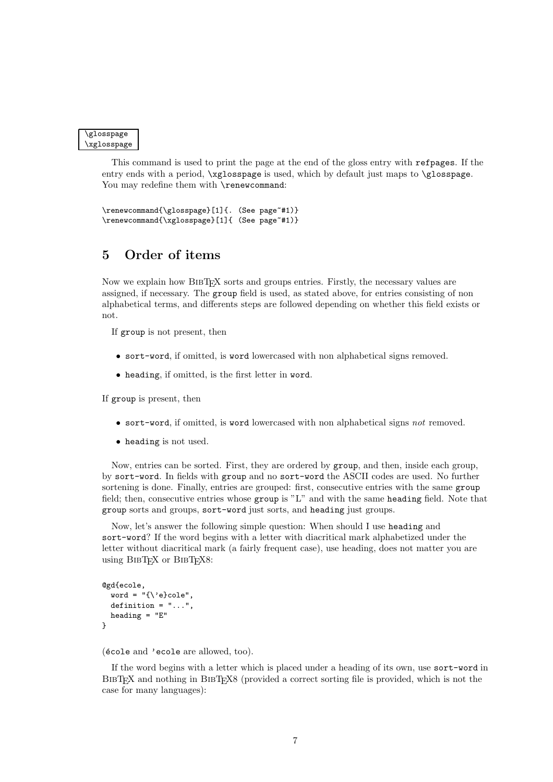```
\glosspage
\xglosspage
```
This command is used to print the page at the end of the gloss entry with refpages. If the entry ends with a period,  $\xrightarrow{\nglosspage}$  is used, which by default just maps to  $\gtrsim$  plosspage. You may redefine them with \renewcommand:

```
\renewcommand{\glosspage}[1]{. (See page~#1)}
\renewcommand{\xglosspage}[1]{ (See page~#1)}
```
# 5 Order of items

Now we explain how BIBTEX sorts and groups entries. Firstly, the necessary values are assigned, if necessary. The group field is used, as stated above, for entries consisting of non alphabetical terms, and differents steps are followed depending on whether this field exists or not.

If group is not present, then

- sort-word, if omitted, is word lowercased with non alphabetical signs removed.
- heading, if omitted, is the first letter in word.

If group is present, then

- sort-word, if omitted, is word lowercased with non alphabetical signs not removed.
- heading is not used.

Now, entries can be sorted. First, they are ordered by group, and then, inside each group, by sort-word. In fields with group and no sort-word the ASCII codes are used. No further sortening is done. Finally, entries are grouped: first, consecutive entries with the same group field; then, consecutive entries whose group is "L" and with the same heading field. Note that group sorts and groups, sort-word just sorts, and heading just groups.

Now, let's answer the following simple question: When should I use heading and sort-word? If the word begins with a letter with diacritical mark alphabetized under the letter without diacritical mark (a fairly frequent case), use heading, does not matter you are using BIBT<sub>EX</sub> or BIBT<sub>EX8</sub>:

```
@gd{ecole,
  word = "\{\ \}e}cole",
  definition = "...",heading = "E"
}
```
(école and 'ecole are allowed, too).

If the word begins with a letter which is placed under a heading of its own, use sort-word in BIBTEX and nothing in BIBTEX8 (provided a correct sorting file is provided, which is not the case for many languages):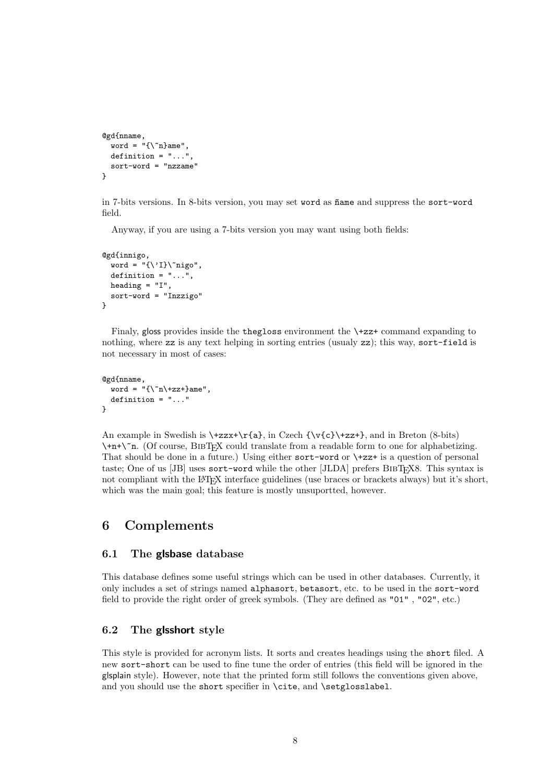```
@gd{nname,
  word = "\{\n\^n\}ame",
  definition = "..."
  sort-word = "nzzame"
}
```
in 7-bits versions. In 8-bits version, you may set word as  $\tilde{n}$  and suppress the sort-word field.

Anyway, if you are using a 7-bits version you may want using both fields:

```
@gd{innigo,
  word = "\{\'\I\}\^n\nigo",
  definition = "...",heading = "I",
  sort-word = "Inzzigo"
}
```
Finaly, gloss provides inside the thegloss environment the \+zz+ command expanding to nothing, where zz is any text helping in sorting entries (usualy zz); this way, sort-field is not necessary in most of cases:

```
@gd{nname,
  word = \sqrt{\n\pi}+zz+}ame",
  definition = "..."
}
```
An example in Swedish is  $\t{zz*}\r{a}$ , in Czech  ${\v{c}}\t{z*}$ , and in Breton (8-bits)  $\+\n+n+\$ n. (Of course, BIBTEX could translate from a readable form to one for alphabetizing. That should be done in a future.) Using either sort-word or \+zz+ is a question of personal taste; One of us  $[JB]$  uses sort-word while the other  $[JLDA]$  prefers BIBT<sub>EX</sub>8. This syntax is not compliant with the LATEX interface guidelines (use braces or brackets always) but it's short, which was the main goal; this feature is mostly unsuportted, however.

# 6 Complements

### 6.1 The glsbase database

This database defines some useful strings which can be used in other databases. Currently, it only includes a set of strings named alphasort, betasort, etc. to be used in the sort-word field to provide the right order of greek symbols. (They are defined as "01" , "02", etc.)

### 6.2 The glsshort style

This style is provided for acronym lists. It sorts and creates headings using the short filed. A new sort-short can be used to fine tune the order of entries (this field will be ignored in the glsplain style). However, note that the printed form still follows the conventions given above, and you should use the short specifier in \cite, and \setglosslabel.